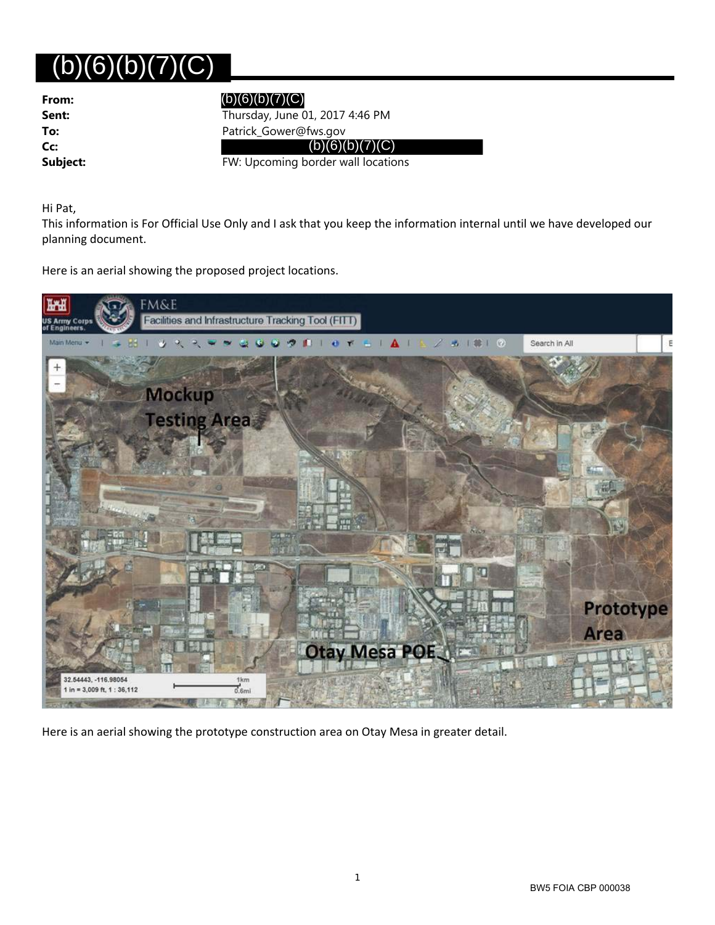## $(b)(6)(b)(7)(C)$

| From:    |
|----------|
| Sent:    |
| To:      |
| Cc:      |
| Subject: |

## (b)(6)(b)(7)(C)

**Sent:** Thursday, June 01, 2017 4:46 PM **To:** Patrick\_Gower@fws.gov

 $(b)(6)(b)(7)(C)$ 

**FW: Upcoming border wall locations** 

Hi Pat,

This information is For Official Use Only and I ask that you keep the information internal until we have developed our planning document.

Here is an aerial showing the proposed project locations.



Here is an aerial showing the prototype construction area on Otay Mesa in greater detail.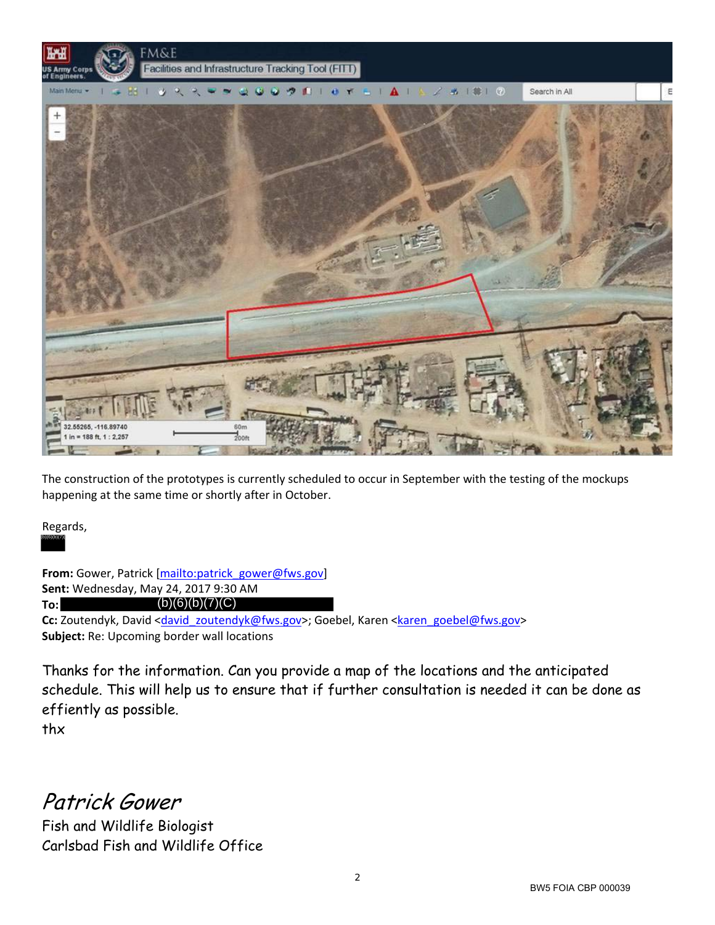

The construction of the prototypes is currently scheduled to occur in September with the testing of the mockups happening at the same time or shortly after in October.

Regards, (b)(6)(b)(7)(

**From:** Gower, Patrick [mailto:patrick\_gower@fws.gov] **Sent:** Wednesday, May 24, 2017 9:30 AM **To:** Cc: Zoutendyk, David <david\_zoutendyk@fws.gov>; Goebel, Karen <karen\_goebel@fws.gov> **Subject:** Re: Upcoming border wall locations  $(b)(6)(b)(7)(C)$ 

Thanks for the information. Can you provide a map of the locations and the anticipated schedule. This will help us to ensure that if further consultation is needed it can be done as effiently as possible.

thx

Patrick Gower

Fish and Wildlife Biologist Carlsbad Fish and Wildlife Office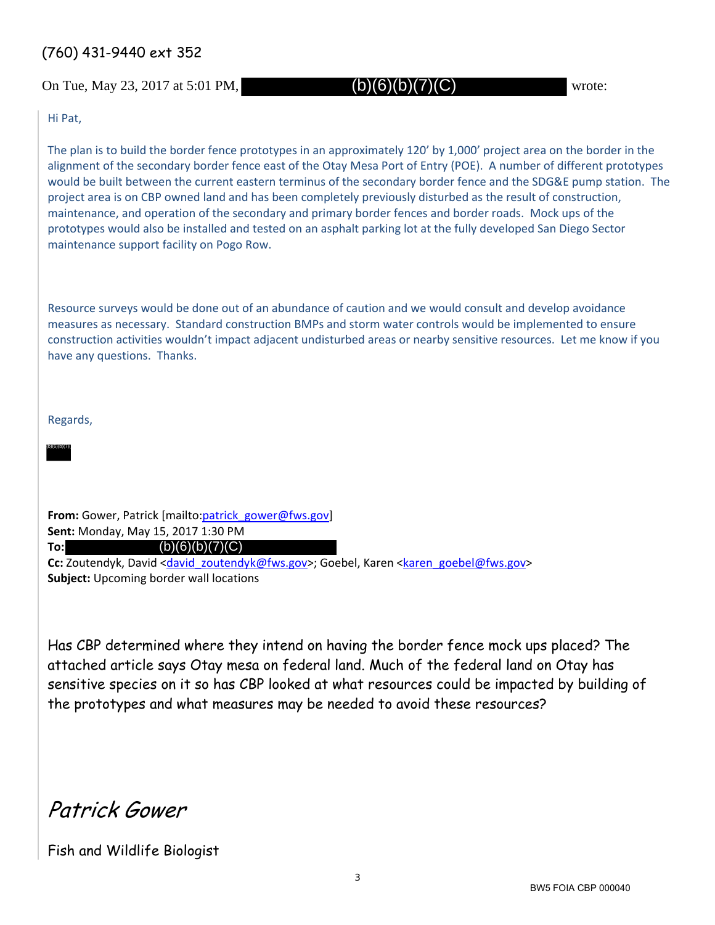## (760) 431-9440 ext 352

On Tue, May 23, 2017 at 5:01 PM,  $(b)(6)(b)(7)(C)$  wrote:

(b)(6)(b)(7)(C)

Hi Pat,

The plan is to build the border fence prototypes in an approximately 120' by 1,000' project area on the border in the alignment of the secondary border fence east of the Otay Mesa Port of Entry (POE). A number of different prototypes would be built between the current eastern terminus of the secondary border fence and the SDG&E pump station. The project area is on CBP owned land and has been completely previously disturbed as the result of construction, maintenance, and operation of the secondary and primary border fences and border roads. Mock ups of the prototypes would also be installed and tested on an asphalt parking lot at the fully developed San Diego Sector maintenance support facility on Pogo Row.

Resource surveys would be done out of an abundance of caution and we would consult and develop avoidance measures as necessary. Standard construction BMPs and storm water controls would be implemented to ensure construction activities wouldn't impact adjacent undisturbed areas or nearby sensitive resources. Let me know if you have any questions. Thanks.

Regards,

(b)(6)(b)(7)(

**To:**

**From:** Gower, Patrick [mailto:patrick\_gower@fws.gov] **Sent:** Monday, May 15, 2017 1:30 PM

 $(b)(6)(b)(7)(C)$ 

Cc: Zoutendyk, David <david\_zoutendyk@fws.gov>; Goebel, Karen <karen\_goebel@fws.gov> **Subject:** Upcoming border wall locations

Has CBP determined where they intend on having the border fence mock ups placed? The attached article says Otay mesa on federal land. Much of the federal land on Otay has sensitive species on it so has CBP looked at what resources could be impacted by building of the prototypes and what measures may be needed to avoid these resources?

Patrick Gower

Fish and Wildlife Biologist